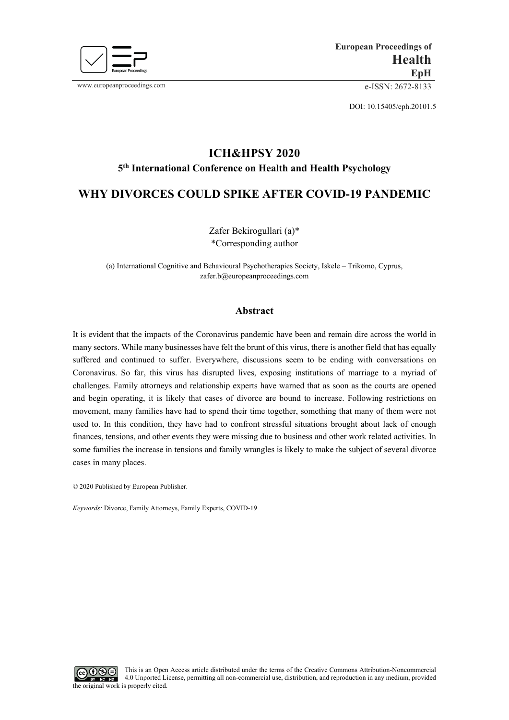

www.europeanproceedings.com e-ISSN: 2672-8133

DOI: 10.15405/eph.20101.5

# **ICH&HPSY 2020 5th International Conference on Health and Health Psychology**

## **WHY DIVORCES COULD SPIKE AFTER COVID-19 PANDEMIC**

Zafer Bekirogullari (a)\* \*Corresponding author

(a) International Cognitive and Behavioural Psychotherapies Society, Iskele – Trikomo, Cyprus, zafer.b@europeanproceedings.com

### **Abstract**

It is evident that the impacts of the Coronavirus pandemic have been and remain dire across the world in many sectors. While many businesses have felt the brunt of this virus, there is another field that has equally suffered and continued to suffer. Everywhere, discussions seem to be ending with conversations on Coronavirus. So far, this virus has disrupted lives, exposing institutions of marriage to a myriad of challenges. Family attorneys and relationship experts have warned that as soon as the courts are opened and begin operating, it is likely that cases of divorce are bound to increase. Following restrictions on movement, many families have had to spend their time together, something that many of them were not used to. In this condition, they have had to confront stressful situations brought about lack of enough finances, tensions, and other events they were missing due to business and other work related activities. In some families the increase in tensions and family wrangles is likely to make the subject of several divorce cases in many places.

© 2020 Published by European Publisher.

*Keywords:* Divorce, Family Attorneys, Family Experts, COVID-19

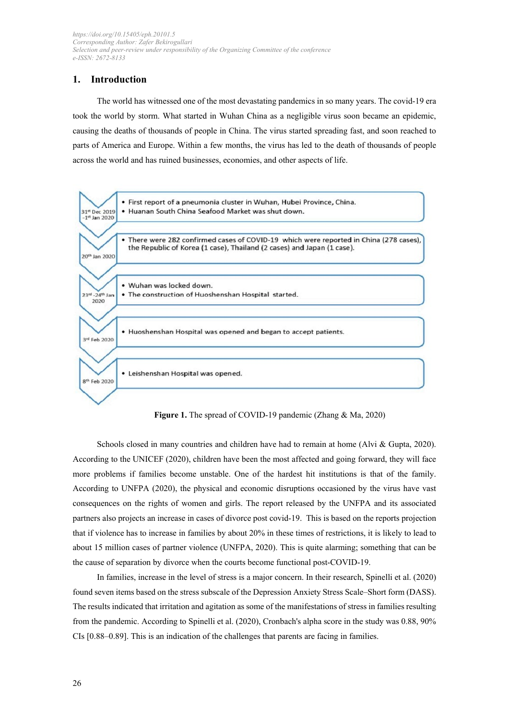### **1. Introduction**

The world has witnessed one of the most devastating pandemics in so many years. The covid-19 era took the world by storm. What started in Wuhan China as a negligible virus soon became an epidemic, causing the deaths of thousands of people in China. The virus started spreading fast, and soon reached to parts of America and Europe. Within a few months, the virus has led to the death of thousands of people across the world and has ruined businesses, economies, and other aspects of life.



**Figure 1.** The spread of COVID-19 pandemic (Zhang & Ma, 2020)

Schools closed in many countries and children have had to remain at home (Alvi & Gupta, 2020). According to the UNICEF (2020), children have been the most affected and going forward, they will face more problems if families become unstable. One of the hardest hit institutions is that of the family. According to UNFPA (2020), the physical and economic disruptions occasioned by the virus have vast consequences on the rights of women and girls. The report released by the UNFPA and its associated partners also projects an increase in cases of divorce post covid-19. This is based on the reports projection that if violence has to increase in families by about 20% in these times of restrictions, it is likely to lead to about 15 million cases of partner violence (UNFPA, 2020). This is quite alarming; something that can be the cause of separation by divorce when the courts become functional post-COVID-19.

In families, increase in the level of stress is a major concern. In their research, Spinelli et al. (2020) found seven items based on the stress subscale of the Depression Anxiety Stress Scale–Short form (DASS). The results indicated that irritation and agitation as some of the manifestations of stress in families resulting from the pandemic. According to Spinelli et al. (2020), Cronbach's alpha score in the study was 0.88, 90% CIs [0.88–0.89]. This is an indication of the challenges that parents are facing in families.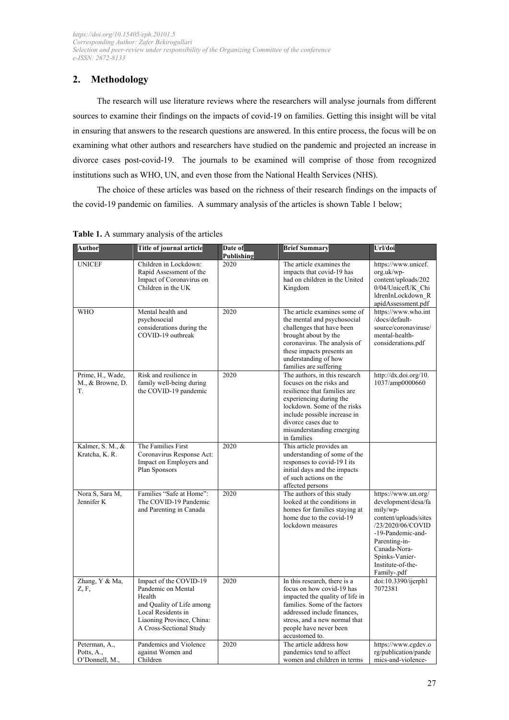### **2. Methodology**

The research will use literature reviews where the researchers will analyse journals from different sources to examine their findings on the impacts of covid-19 on families. Getting this insight will be vital in ensuring that answers to the research questions are answered. In this entire process, the focus will be on examining what other authors and researchers have studied on the pandemic and projected an increase in divorce cases post-covid-19. The journals to be examined will comprise of those from recognized institutions such as WHO, UN, and even those from the National Health Services (NHS).

The choice of these articles was based on the richness of their research findings on the impacts of the covid-19 pandemic on families. A summary analysis of the articles is shown Table 1 below;

| Author                                        | Title of journal article                                                                                                                                          | Date of<br>Publishing | <b>Brief Summary</b>                                                                                                                                                                                                                                    | Url/doi                                                                                                                                                                                                          |
|-----------------------------------------------|-------------------------------------------------------------------------------------------------------------------------------------------------------------------|-----------------------|---------------------------------------------------------------------------------------------------------------------------------------------------------------------------------------------------------------------------------------------------------|------------------------------------------------------------------------------------------------------------------------------------------------------------------------------------------------------------------|
| <b>UNICEF</b>                                 | Children in Lockdown:<br>Rapid Assessment of the<br>Impact of Coronavirus on<br>Children in the UK                                                                | 2020                  | The article examines the<br>impacts that covid-19 has<br>had on children in the United<br>Kingdom                                                                                                                                                       | https://www.unicef.<br>org.uk/wp-<br>content/uploads/202<br>0/04/UnicefUK Chi<br>ldrenInLockdown R<br>apidAssessment.pdf                                                                                         |
| <b>WHO</b>                                    | Mental health and<br>psychosocial<br>considerations during the<br>COVID-19 outbreak                                                                               | 2020                  | The article examines some of<br>the mental and psychosocial<br>challenges that have been<br>brought about by the<br>coronavirus. The analysis of<br>these impacts presents an<br>understanding of how<br>families are suffering                         | https://www.who.int<br>/docs/default-<br>source/coronaviruse/<br>mental-health-<br>considerations.pdf                                                                                                            |
| Prime, H., Wade,<br>M., & Browne, D.<br>T.    | Risk and resilience in<br>family well-being during<br>the COVID-19 pandemic                                                                                       | 2020                  | The authors, in this research<br>focuses on the risks and<br>resilience that families are<br>experiencing during the<br>lockdown. Some of the risks<br>include possible increase in<br>divorce cases due to<br>misunderstanding emerging<br>in families | http://dx.doi.org/10.<br>1037/amp0000660                                                                                                                                                                         |
| Kalmer, S. M., &<br>Kratcha, K. R.            | The Families First<br>Coronavirus Response Act:<br>Impact on Employers and<br>Plan Sponsors                                                                       | 2020                  | This article provides an<br>understanding of some of the<br>responses to covid-19 I its<br>initial days and the impacts<br>of such actions on the<br>affected persons                                                                                   |                                                                                                                                                                                                                  |
| Nora S, Sara M,<br>Jennifer K                 | Families "Safe at Home":<br>The COVID-19 Pandemic<br>and Parenting in Canada                                                                                      | 2020                  | The authors of this study<br>looked at the conditions in<br>homes for families staying at<br>home due to the covid-19<br>lockdown measures                                                                                                              | https://www.un.org/<br>development/desa/fa<br>mily/wp-<br>content/uploads/sites<br>/23/2020/06/COVID<br>-19-Pandemic-and-<br>Parenting-in-<br>Canada-Nora-<br>Spinks-Vanier-<br>Institute-of-the-<br>Family-.pdf |
| Zhang, Y & Ma,<br>Z, F,                       | Impact of the COVID-19<br>Pandemic on Mental<br>Health<br>and Quality of Life among<br>Local Residents in<br>Liaoning Province, China:<br>A Cross-Sectional Study | 2020                  | In this research, there is a<br>focus on how covid-19 has<br>impacted the quality of life in<br>families. Some of the factors<br>addressed include finances.<br>stress, and a new normal that<br>people have never been<br>accustomed to.               | doi:10.3390/ijerph1<br>7072381                                                                                                                                                                                   |
| Peterman, A.,<br>Potts, A.,<br>O'Donnell, M., | Pandemics and Violence<br>against Women and<br>Children                                                                                                           | 2020                  | The article address how<br>pandemics tend to affect<br>women and children in terms                                                                                                                                                                      | https://www.cgdev.o<br>rg/publication/pande<br>mics-and-violence-                                                                                                                                                |

**Table 1.** A summary analysis of the articles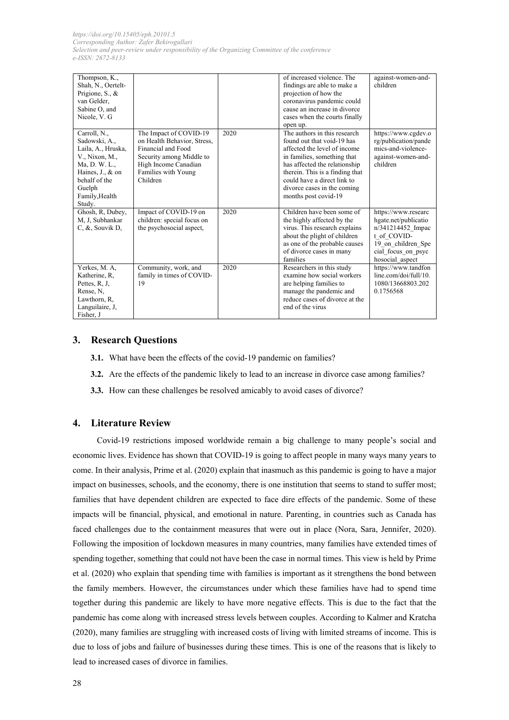| Thompson, K.,<br>Shah, N., Oertelt-<br>Prigione, S., &<br>van Gelder.<br>Sabine O, and<br>Nicole, V. G                                                            |                                                                                                                                                                    |      | of increased violence. The<br>findings are able to make a<br>projection of how the<br>coronavirus pandemic could<br>cause an increase in divorce<br>cases when the courts finally<br>open up.                                                                                       | against-women-and-<br>children                                                                                                                 |
|-------------------------------------------------------------------------------------------------------------------------------------------------------------------|--------------------------------------------------------------------------------------------------------------------------------------------------------------------|------|-------------------------------------------------------------------------------------------------------------------------------------------------------------------------------------------------------------------------------------------------------------------------------------|------------------------------------------------------------------------------------------------------------------------------------------------|
| Carroll, N.,<br>Sadowski, A.,<br>Laila, A., Hruska,<br>V., Nixon, M.,<br>Ma, D. W. L.,<br>Haines, J., & on<br>behalf of the<br>Guelph<br>Family, Health<br>Study. | The Impact of COVID-19<br>on Health Behavior, Stress,<br>Financial and Food<br>Security among Middle to<br>High Income Canadian<br>Families with Young<br>Children | 2020 | The authors in this research<br>found out that void-19 has<br>affected the level of income<br>in families, something that<br>has affected the relationship<br>therein. This is a finding that<br>could have a direct link to<br>divorce cases in the coming<br>months post covid-19 | https://www.cgdev.o<br>rg/publication/pande<br>mics-and-violence-<br>against-women-and-<br>children                                            |
| Ghosh, R, Dubey,<br>M, J, Subhankar<br>$C, \&$ , Souvik D,                                                                                                        | Impact of COVID-19 on<br>children: special focus on<br>the psychosocial aspect,                                                                                    | 2020 | Children have been some of<br>the highly affected by the<br>virus. This research explains<br>about the plight of children<br>as one of the probable causes<br>of divorce cases in many<br>families                                                                                  | https://www.researc<br>hgate.net/publicatio<br>n/341214452 Impac<br>t of COVID-<br>19 on children Spe<br>cial focus on psyc<br>hosocial aspect |
| Yerkes, M. A.<br>Katherine, R.<br>Pettes, R. J.<br>Rense, N.<br>Lawthorn, R,<br>Languilaire, J.<br>Fisher, J                                                      | Community, work, and<br>family in times of COVID-<br>19                                                                                                            | 2020 | Researchers in this study<br>examine how social workers<br>are helping families to<br>manage the pandemic and<br>reduce cases of divorce at the<br>end of the virus                                                                                                                 | https://www.tandfon<br>line.com/doi/full/10.<br>1080/13668803.202<br>0.1756568                                                                 |

### **3. Research Questions**

- **3.1.** What have been the effects of the covid-19 pandemic on families?
- **3.2.** Are the effects of the pandemic likely to lead to an increase in divorce case among families?
- **3.3.** How can these challenges be resolved amicably to avoid cases of divorce?

#### **4. Literature Review**

Covid-19 restrictions imposed worldwide remain a big challenge to many people's social and economic lives. Evidence has shown that COVID-19 is going to affect people in many ways many years to come. In their analysis, Prime et al. (2020) explain that inasmuch as this pandemic is going to have a major impact on businesses, schools, and the economy, there is one institution that seems to stand to suffer most; families that have dependent children are expected to face dire effects of the pandemic. Some of these impacts will be financial, physical, and emotional in nature. Parenting, in countries such as Canada has faced challenges due to the containment measures that were out in place (Nora, Sara, Jennifer, 2020). Following the imposition of lockdown measures in many countries, many families have extended times of spending together, something that could not have been the case in normal times. This view is held by Prime et al. (2020) who explain that spending time with families is important as it strengthens the bond between the family members. However, the circumstances under which these families have had to spend time together during this pandemic are likely to have more negative effects. This is due to the fact that the pandemic has come along with increased stress levels between couples. According to Kalmer and Kratcha (2020), many families are struggling with increased costs of living with limited streams of income. This is due to loss of jobs and failure of businesses during these times. This is one of the reasons that is likely to lead to increased cases of divorce in families.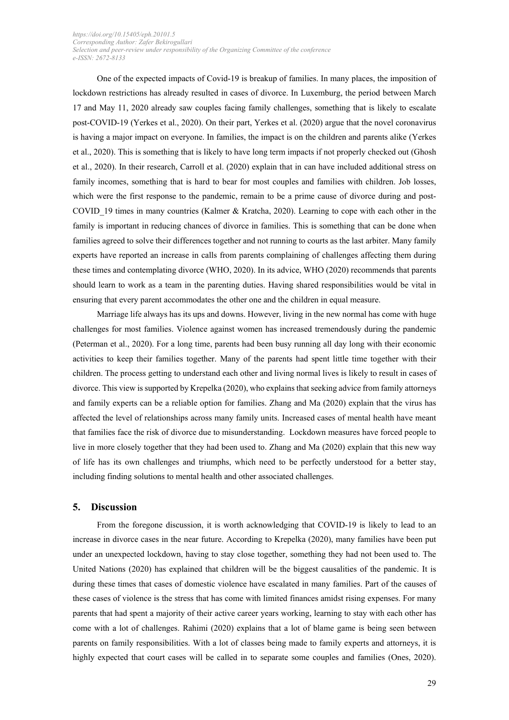One of the expected impacts of Covid-19 is breakup of families. In many places, the imposition of lockdown restrictions has already resulted in cases of divorce. In Luxemburg, the period between March 17 and May 11, 2020 already saw couples facing family challenges, something that is likely to escalate post-COVID-19 (Yerkes et al., 2020). On their part, Yerkes et al. (2020) argue that the novel coronavirus is having a major impact on everyone. In families, the impact is on the children and parents alike (Yerkes et al., 2020). This is something that is likely to have long term impacts if not properly checked out (Ghosh et al., 2020). In their research, Carroll et al. (2020) explain that in can have included additional stress on family incomes, something that is hard to bear for most couples and families with children. Job losses, which were the first response to the pandemic, remain to be a prime cause of divorce during and post-COVID\_19 times in many countries (Kalmer & Kratcha, 2020). Learning to cope with each other in the family is important in reducing chances of divorce in families. This is something that can be done when families agreed to solve their differences together and not running to courts as the last arbiter. Many family experts have reported an increase in calls from parents complaining of challenges affecting them during these times and contemplating divorce (WHO, 2020). In its advice, WHO (2020) recommends that parents should learn to work as a team in the parenting duties. Having shared responsibilities would be vital in ensuring that every parent accommodates the other one and the children in equal measure.

Marriage life always has its ups and downs. However, living in the new normal has come with huge challenges for most families. Violence against women has increased tremendously during the pandemic (Peterman et al., 2020). For a long time, parents had been busy running all day long with their economic activities to keep their families together. Many of the parents had spent little time together with their children. The process getting to understand each other and living normal lives is likely to result in cases of divorce. This view is supported by Krepelka (2020), who explains that seeking advice from family attorneys and family experts can be a reliable option for families. Zhang and Ma (2020) explain that the virus has affected the level of relationships across many family units. Increased cases of mental health have meant that families face the risk of divorce due to misunderstanding. Lockdown measures have forced people to live in more closely together that they had been used to. Zhang and Ma (2020) explain that this new way of life has its own challenges and triumphs, which need to be perfectly understood for a better stay, including finding solutions to mental health and other associated challenges.

#### **5. Discussion**

From the foregone discussion, it is worth acknowledging that COVID-19 is likely to lead to an increase in divorce cases in the near future. According to Krepelka (2020), many families have been put under an unexpected lockdown, having to stay close together, something they had not been used to. The United Nations (2020) has explained that children will be the biggest causalities of the pandemic. It is during these times that cases of domestic violence have escalated in many families. Part of the causes of these cases of violence is the stress that has come with limited finances amidst rising expenses. For many parents that had spent a majority of their active career years working, learning to stay with each other has come with a lot of challenges. Rahimi (2020) explains that a lot of blame game is being seen between parents on family responsibilities. With a lot of classes being made to family experts and attorneys, it is highly expected that court cases will be called in to separate some couples and families (Ones, 2020).